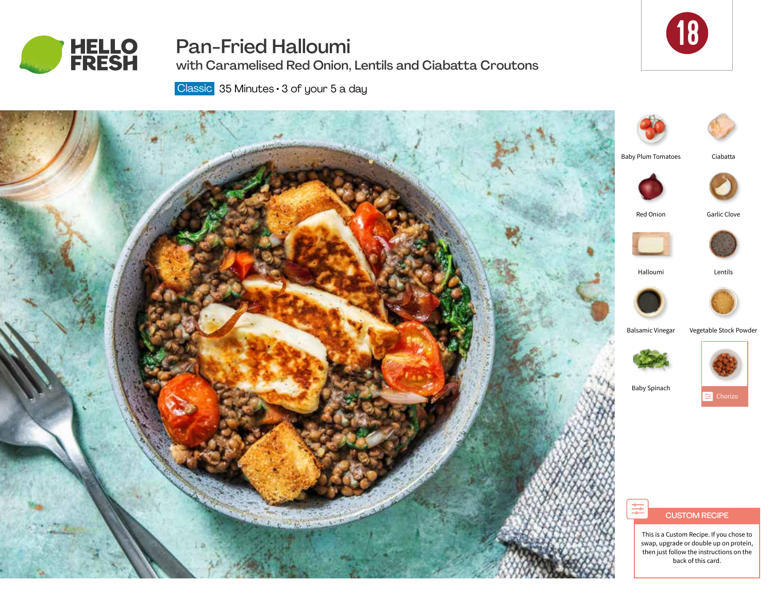

# Pan-Fried Halloumi

with Caramelised Red Onion, Lentils and Ciabatta Croutons



Classic 35 Minutes · 3 of your 5 a day